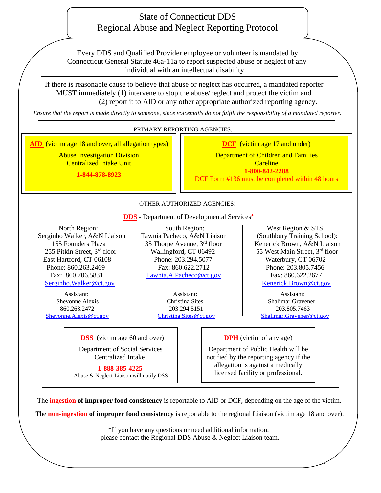# State of Connecticut DDS Regional Abuse and Neglect Reporting Protocol

Every DDS and Qualified Provider employee or volunteer is mandated by Connecticut General Statute 46a-11a to report suspected abuse or neglect of any individual with an intellectual disability.

 If there is reasonable cause to believe that abuse or neglect has occurred, a mandated reporter MUST immediately (1) intervene to stop the abuse/neglect and protect the victim and (2) report it to AID or any other appropriate authorized reporting agency.

*Ensure that the report is made directly to someone, since voicemails do not fulfill the responsibility of a mandated reporter.*

#### PRIMARY REPORTING AGENCIES:

I **AID** (victim age 18 and over, all allegation types)

Abuse Investigation Division Centralized Intake Unit

**1-844-878-8923**

**DCF** (victim age 17 and under)

Department of Children and Families **Careline 1-800-842-2288** DCF Form #136 must be completed within 48 hours

### OTHER AUTHORIZED AGENCIES:

 **DDS** - Department of Developmental Services\*

Phone: 860.263.2469 255 Pitkin Street,  $3<sup>rd</sup>$  floor Wallingford, CT 06492 [Serginho.Walker@ct.gov](mailto:Serginho.Walker@ct.gov) Network: Engine Serginho.Walker@ct.gov

860.263.2472 Assistant: Assistant: Assistant: Assistant: Assistant: Assistant:

I

North Region:  $\vert$  South Region:  $\vert$  West Region & STS Serginho Walker, A&N Liaison Tawnia Pacheco, A&N Liaison (Southbury Training School): 155 Founders Plaza 155 Thorpe Avenue,  $3^{rd}$  floor Kenerick Brown, A&N Liaison East Hartford, CT 06108 Phone: 203.294.5077 Waterbury, CT 06702 Fax: 860.706.5831 [Tawnia.A.Pacheco@ct.gov](mailto:Tawnia.A.Pacheco@ct.gov) Fax: 860.622.2677

55 West Main Street, 3rd floor Fax: 860.622.2712 Phone: 203.805.7456

 Shevonne Alexis Christina Sites Shalimar Gravener 203.294.5151 203.805.7463 [Shevonne.Alexis@ct.gov](mailto:Shevonne.Alexis@ct.gov) [Christina.Sites@ct.gov](mailto:Christina.Sites@ct.gov) [Shalimar.Gravener@ct.gov](mailto:Shalimar.Gravener@ct.gov)

 $\overline{\mathcal{A}}$ 

 **DSS** (victim age 60 and over)

 Department of Social Services Centralized Intake

 **1-888-385-4225**

Abuse & Neglect Liaison will notify DSS

**DPH** (victim of any age)

Department of Public Health will be notified by the reporting agency if the allegation is against a medically licensed facility or professional.

The **ingestion of improper food consistency** is reportable to AID or DCF, depending on the age of the victim.

 $\overline{a}$ 

The **non-ingestion of improper food consistency** is reportable to the regional Liaison (victim age 18 and over).

\*If you have any questions or need additional information, please contact the Regional DDS Abuse & Neglect Liaison team.